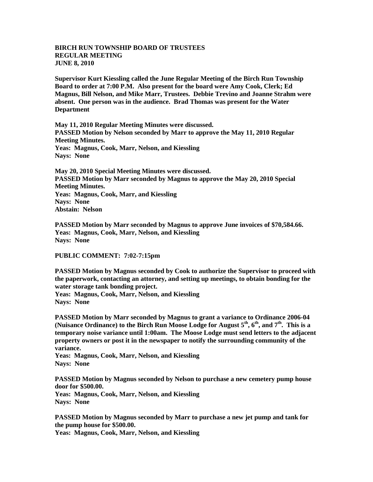## **BIRCH RUN TOWNSHIP BOARD OF TRUSTEES REGULAR MEETING JUNE 8, 2010**

**Supervisor Kurt Kiessling called the June Regular Meeting of the Birch Run Township Board to order at 7:00 P.M. Also present for the board were Amy Cook, Clerk; Ed Magnus, Bill Nelson, and Mike Marr, Trustees. Debbie Trevino and Joanne Strahm were absent. One person was in the audience. Brad Thomas was present for the Water Department**

**May 11, 2010 Regular Meeting Minutes were discussed. PASSED Motion by Nelson seconded by Marr to approve the May 11, 2010 Regular Meeting Minutes. Yeas: Magnus, Cook, Marr, Nelson, and Kiessling Nays: None** 

**May 20, 2010 Special Meeting Minutes were discussed. PASSED Motion by Marr seconded by Magnus to approve the May 20, 2010 Special Meeting Minutes. Yeas: Magnus, Cook, Marr, and Kiessling Nays: None Abstain: Nelson**

**PASSED Motion by Marr seconded by Magnus to approve June invoices of \$70,584.66. Yeas: Magnus, Cook, Marr, Nelson, and Kiessling Nays: None**

## **PUBLIC COMMENT: 7:02-7:15pm**

**PASSED Motion by Magnus seconded by Cook to authorize the Supervisor to proceed with the paperwork, contacting an attorney, and setting up meetings, to obtain bonding for the water storage tank bonding project.**

**Yeas: Magnus, Cook, Marr, Nelson, and Kiessling Nays: None**

**PASSED Motion by Marr seconded by Magnus to grant a variance to Ordinance 2006-04 (Nuisance Ordinance) to the Birch Run Moose Lodge for August 5th, 6th, and 7th. This is a temporary noise variance until 1:00am. The Moose Lodge must send letters to the adjacent property owners or post it in the newspaper to notify the surrounding community of the variance.**

**Yeas: Magnus, Cook, Marr, Nelson, and Kiessling Nays: None**

**PASSED Motion by Magnus seconded by Nelson to purchase a new cemetery pump house door for \$500.00.**

**Yeas: Magnus, Cook, Marr, Nelson, and Kiessling Nays: None**

**PASSED Motion by Magnus seconded by Marr to purchase a new jet pump and tank for the pump house for \$500.00.**

**Yeas: Magnus, Cook, Marr, Nelson, and Kiessling**